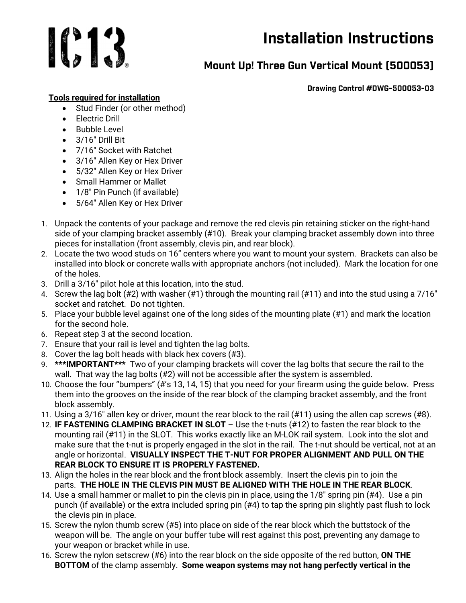

## Installation Instructions

## Mount Up! Three Gun Vertical Mount (500053)

Drawing Control #DWG-500053-03

## Tools required for installation

- Stud Finder (or other method)
- **•** Flectric Drill
- Bubble Level
- $\bullet$  3/16" Drill Bit
- 7/16" Socket with Ratchet
- 3/16" Allen Key or Hex Driver
- 5/32″ Allen Key or Hex Driver
- Small Hammer or Mallet
- 1/8" Pin Punch (if available)
- 5/64″ Allen Key or Hex Driver
- 1. Unpack the contents of your package and remove the red clevis pin retaining sticker on the right-hand side of your clamping bracket assembly (#10). Break your clamping bracket assembly down into three pieces for installation (front assembly, clevis pin, and rear block).
- 2. Locate the two wood studs on 16" centers where you want to mount your system. Brackets can also be installed into block or concrete walls with appropriate anchors (not included). Mark the location for one of the holes.
- 3. Drill a 3/16″ pilot hole at this location, into the stud.
- 4. Screw the lag bolt (#2) with washer (#1) through the mounting rail (#11) and into the stud using a 7/16″ socket and ratchet. Do not tighten.
- 5. Place your bubble level against one of the long sides of the mounting plate (#1) and mark the location for the second hole.
- 6. Repeat step 3 at the second location.
- 7. Ensure that your rail is level and tighten the lag bolts.
- 8. Cover the lag bolt heads with black hex covers (#3).
- 9. \*\*\*IMPORTANT\*\*\* Two of your clamping brackets will cover the lag bolts that secure the rail to the wall. That way the lag bolts (#2) will not be accessible after the system is assembled.
- 10. Choose the four "bumpers" (#'s 13, 14, 15) that you need for your firearm using the guide below. Press them into the grooves on the inside of the rear block of the clamping bracket assembly, and the front block assembly.
- 11. Using a 3/16″ allen key or driver, mount the rear block to the rail (#11) using the allen cap screws (#8).
- 12. IF FASTENING CLAMPING BRACKET IN SLOT Use the t-nuts (#12) to fasten the rear block to the mounting rail (#11) in the SLOT. This works exactly like an M-LOK rail system. Look into the slot and make sure that the t-nut is properly engaged in the slot in the rail. The t-nut should be vertical, not at an angle or horizontal. VISUALLY INSPECT THE T-NUT FOR PROPER ALIGNMENT AND PULL ON THE REAR BLOCK TO ENSURE IT IS PROPERLY FASTENED.
- 13. Align the holes in the rear block and the front block assembly. Insert the clevis pin to join the parts. THE HOLE IN THE CLEVIS PIN MUST BE ALIGNED WITH THE HOLE IN THE REAR BLOCK.
- 14. Use a small hammer or mallet to pin the clevis pin in place, using the 1/8″ spring pin (#4). Use a pin punch (if available) or the extra included spring pin (#4) to tap the spring pin slightly past flush to lock the clevis pin in place.
- 15. Screw the nylon thumb screw (#5) into place on side of the rear block which the buttstock of the weapon will be. The angle on your buffer tube will rest against this post, preventing any damage to your weapon or bracket while in use.
- 16. Screw the nylon setscrew (#6) into the rear block on the side opposite of the red button, ON THE BOTTOM of the clamp assembly. Some weapon systems may not hang perfectly vertical in the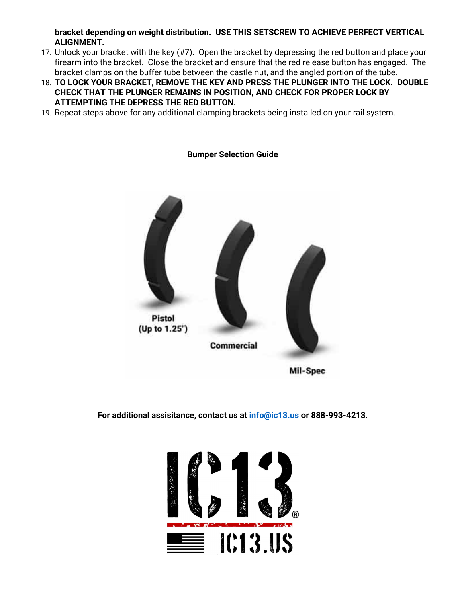bracket depending on weight distribution. USE THIS SETSCREW TO ACHIEVE PERFECT VERTICAL ALIGNMENT.

- 17. Unlock your bracket with the key (#7). Open the bracket by depressing the red button and place your firearm into the bracket. Close the bracket and ensure that the red release button has engaged. The bracket clamps on the buffer tube between the castle nut, and the angled portion of the tube.
- 18. TO LOCK YOUR BRACKET, REMOVE THE KEY AND PRESS THE PLUNGER INTO THE LOCK. DOUBLE CHECK THAT THE PLUNGER REMAINS IN POSITION, AND CHECK FOR PROPER LOCK BY ATTEMPTING THE DEPRESS THE RED BUTTON.
- 19. Repeat steps above for any additional clamping brackets being installed on your rail system.



## Bumper Selection Guide

For additional assisitance, contact us at **info@ic13.us** or 888-993-4213.